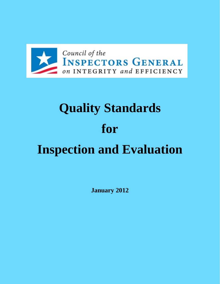

# **Quality Standards for Inspection and Evaluation**

**January 2012**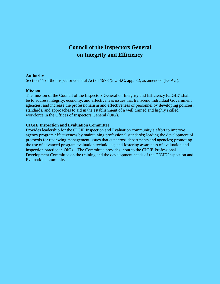# **Council of the Inspectors General on Integrity and Efficiency**

#### **Authority**

Section 11 of the Inspector General Act of 1978 (5 U.S.C. app. 3.), as amended (IG Act).

#### **Mission**

The mission of the Council of the Inspectors General on Integrity and Efficiency (CIGIE) shall be to address integrity, economy, and effectiveness issues that transcend individual Government agencies; and increase the professionalism and effectiveness of personnel by developing policies, standards, and approaches to aid in the establishment of a well trained and highly skilled workforce in the Offices of Inspectors General (OIG).

## **CIGIE Inspection and Evaluation Committee**

Provides leadership for the CIGIE Inspection and Evaluation community's effort to improve agency program effectiveness by maintaining professional standards; leading the development of protocols for reviewing management issues that cut across departments and agencies; promoting the use of advanced program evaluation techniques; and fostering awareness of evaluation and inspection practice in OIGs. The Committee provides input to the CIGIE Professional Development Committee on the training and the development needs of the CIGIE Inspection and Evaluation community.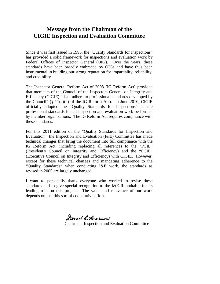## **Message from the Chairman of the CIGIE Inspection and Evaluation Committee**

Since it was first issued in 1993, the "Quality Standards for Inspections" has provided a solid framework for inspections and evaluation work by Federal Offices of Inspector General (OIG). Over the years, these standards have been broadly embraced by OIGs and have thus been instrumental in building our strong reputation for impartiality, reliability, and credibility.

The Inspector General Reform Act of 2008 (IG Reform Act) provided that members of the Council of the Inspectors General on Integrity and Efficiency (CIGIE) "shall adhere to professional standards developed by the Council"  $(\S 11(c)(2)$  of the IG Reform Act). In June 2010, CIGIE officially adopted the "Quality Standards for Inspections" as the professional standards for all inspection and evaluation work performed by member organizations. The IG Reform Act requires compliance with these standards.

For this 2011 edition of the "Quality Standards for Inspection and Evaluation," the Inspection and Evaluation (I&E) Committee has made technical changes that bring the document into full compliance with the IG Reform Act, including replacing all references to the "PCIE" (President's Council on Integrity and Efficiency) and the "ECIE" (Executive Council on Integrity and Efficiency) with CIGIE. However, except for these technical changes and mandating adherence to the "Quality Standards" when conducting I&E work, the standards as revised in 2005 are largely unchanged.

I want to personally thank everyone who worked to revise these standards and to give special recognition to the I&E Roundtable for its leading role on this project. The value and relevance of our work depends on just this sort of cooperative effort.

Daniel R. Lewinson

Chairman, Inspection and Evaluation Committee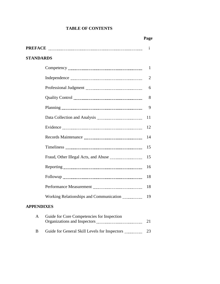## **TABLE OF CONTENTS**

|                                                 | Pago           |
|-------------------------------------------------|----------------|
|                                                 | $\mathbf{i}$   |
| <b>STANDARDS</b>                                |                |
|                                                 | $\mathbf{1}$   |
|                                                 | $\overline{2}$ |
|                                                 | 6              |
|                                                 | 8              |
|                                                 | 9              |
|                                                 | 11             |
|                                                 | 12             |
|                                                 | 14             |
|                                                 | 15             |
|                                                 | 15             |
|                                                 | 16             |
|                                                 | 18             |
|                                                 | 18             |
| Working Relationships and Communication         | 19             |
| <b>APPENDIXES</b>                               |                |
| Guide for Core Competencies for Inspection<br>A | 21             |

B Guide for General Skill Levels for Inspectors 23

## **Page**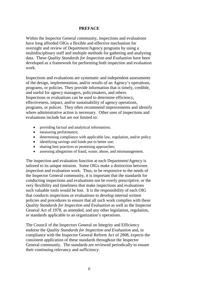#### **PREFACE**

Within the Inspector General community, inspections and evaluations have long afforded OIGs a flexible and effective mechanism for oversight and review of Department/Agency programs by using a multidisciplinary staff and multiple methods for gathering and analyzing data. These *Quality Standards for Inspection and Evaluation* have been developed as a framework for performing both inspection and evaluation work.

Inspections and evaluations are systematic and independent assessments of the design, implementation, and/or results of an Agency's operations, programs, or policies. They provide information that is timely, credible, and useful for agency managers, policymakers, and others. Inspections or evaluations can be used to determine efficiency, effectiveness, impact, and/or sustainability of agency operations, programs, or polices. They often recommend improvements and identify where administrative action is necessary. Other uses of inspections and evaluations include but are not limited to:

- providing factual and analytical information;
- measuring performance;
- determining compliance with applicable law, regulation, and/or policy
- identifying savings and funds put to better use;
- sharing best practices or promising approaches;
- assessing allegations of fraud, waste, abuse, and mismanagement.

The inspection and evaluation function at each Department/Agency is tailored to its unique mission. Some OIGs make a distinction between inspection and evaluation work. Thus, to be responsive to the needs of the Inspector General community, it is important that the standards for conducting inspections and evaluations not be overly prescriptive, or the very flexibility and timeliness that make inspections and evaluations such valuable tools would be lost. It is the responsibility of each OIG that conducts inspections or evaluations to develop internal written policies and procedures to ensure that all such work complies with these *Quality Standards for Inspection and Evaluation* as well as the Inspector General Act of 1978, as amended, and any other legislation, regulation, or standards applicable to an organization's operations.

The Council of the Inspectors General on Integrity and Efficiency endorse the *Quality Standards for Inspection and Evaluation* and, in compliance with the Inspector General Reform Act of 2008, expects the consistent application of these standards throughout the Inspector General community. The standards are reviewed periodically to ensure their continuing relevancy and sufficiency.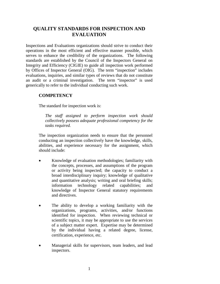## **QUALITY STANDARDS FOR INSPECTION AND EVALUATION**

Inspections and Evaluations organizations should strive to conduct their operations in the most efficient and effective manner possible, which serves to enhance the credibility of the organizations. The following standards are established by the Council of the Inspectors General on Integrity and Efficiency (CIGIE) to guide all inspection work performed by Offices of Inspector General (OIG). The term "inspection" includes evaluations, inquiries, and similar types of reviews that do not constitute an audit or a criminal investigation. The term "inspector" is used generically to refer to the individual conducting such work.

## **COMPETENCY**

The standard for inspection work is:

*The staff assigned to perform inspection work should collectively possess adequate professional competency for the tasks required.*

The inspection organization needs to ensure that the personnel conducting an inspection collectively have the knowledge, skills, abilities, and experience necessary for the assignment, which should include:

- Knowledge of evaluation methodologies; familiarity with the concepts, processes, and assumptions of the program or activity being inspected; the capacity to conduct a broad interdisciplinary inquiry; knowledge of qualitative and quantitative analysis; writing and oral briefing skills; information technology related capabilities; and knowledge of Inspector General statutory requirements and directives.
- The ability to develop a working familiarity with the organizations, programs, activities, and/or functions identified for inspection. When reviewing technical or scientific topics, it may be appropriate to use the services of a subject matter expert. Expertise may be determined by the individual having a related degree, license, certification, experience, etc.
- Managerial skills for supervisors, team leaders, and lead inspectors.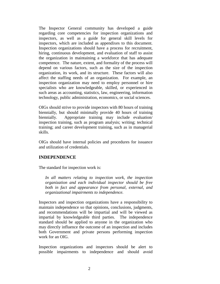The Inspector General community has developed a guide regarding core competencies for inspection organizations and inspectors, as well as a guide for general skill levels for inspectors, which are included as appendixes to this document. Inspection organizations should have a process for recruitment, hiring, continuous development, and evaluation of staff to assist the organization in maintaining a workforce that has adequate competence. The nature, extent, and formality of the process will depend on various factors, such as the size of the inspection organization, its work, and its structure. These factors will also affect the staffing needs of an organization. For example, an inspection organization may need to employ personnel or hire specialists who are knowledgeable, skilled, or experienced in such areas as accounting, statistics, law, engineering, information technology, public administration, economics, or social sciences.

OIGs should strive to provide inspectors with 80 hours of training biennially, but should minimally provide 40 hours of training biennially. Appropriate training may include evaluation/ inspection training, such as program analysis; writing; technical training; and career development training, such as in managerial skills.

OIGs should have internal policies and procedures for issuance and utilization of credentials.

## **INDEPENDENCE**

The standard for inspection work is:

*In all matters relating to inspection work, the inspection organization and each individual inspector should be free both in fact and appearance from personal, external, and organizational impairments to independence.*

Inspectors and inspection organizations have a responsibility to maintain independence so that opinions, conclusions, judgments, and recommendations will be impartial and will be viewed as impartial by knowledgeable third parties. The independence standard should be applied to anyone in the organization who may directly influence the outcome of an inspection and includes both Government and private persons performing inspection work for an OIG.

Inspection organizations and inspectors should be alert to possible impairments to independence and should avoid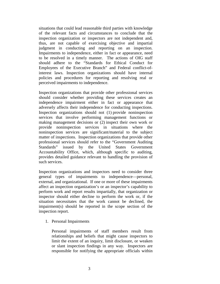situations that could lead reasonable third parties with knowledge of the relevant facts and circumstances to conclude that the inspection organization or inspectors are not independent and, thus, are not capable of exercising objective and impartial judgment in conducting and reporting on an inspection. Impairments to independence, either in fact or appearance, need to be resolved in a timely manner. The actions of OIG staff should adhere to the "Standards for Ethical Conduct for Employees of the Executive Branch" and Federal conflict-ofinterest laws. Inspection organizations should have internal policies and procedures for reporting and resolving real or perceived impairments to independence.

Inspection organizations that provide other professional services should consider whether providing these services creates an independence impairment either in fact or appearance that adversely affects their independence for conducting inspections. Inspection organizations should not (1) provide noninspection services that involve performing management functions or making management decisions or (2) inspect their own work or provide noninspection services in situations where the noninspection services are significant/material to the subject matter of inspections. Inspection organizations that provide other professional services should refer to the "Government Auditing Standards" issued by the United States Government Accountability Office, which, although specific to auditing, provides detailed guidance relevant to handling the provision of such services.

Inspection organizations and inspectors need to consider three general types of impairments to independence—personal, external, and organizational. If one or more of these impairments affect an inspection organization's or an inspector's capability to perform work and report results impartially, that organization or inspector should either decline to perform the work or, if the situation necessitates that the work cannot be declined, the impairment(s) should be reported in the scope section of the inspection report.

1. Personal Impairments

Personal impairments of staff members result from relationships and beliefs that might cause inspectors to limit the extent of an inquiry, limit disclosure, or weaken or slant inspection findings in any way. Inspectors are responsible for notifying the appropriate officials within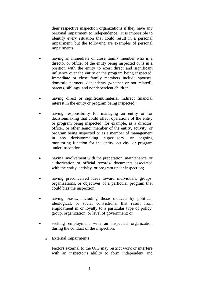their respective inspection organizations if they have any personal impairment to independence. It is impossible to identify every situation that could result in a personal impairment, but the following are examples of personal impairments:

- having an immediate or close family member who is a director or officer of the entity being inspected or is in a position with the entity to exert direct and significant influence over the entity or the program being inspected. Immediate or close family members include spouses, domestic partners, dependents (whether or not related), parents, siblings, and nondependent children;
- having direct or significant/material indirect financial interest in the entity or program being inspected;
- having responsibility for managing an entity or for decisionmaking that could affect operations of the entity or program being inspected; for example, as a director, officer, or other senior member of the entity, activity, or program being inspected or as a member of management in any decisionmaking, supervisory, or ongoing monitoring function for the entity, activity, or program under inspection;
- having involvement with the preparation, maintenance, or authorization of official records/ documents associated with the entity, activity, or program under inspection;
- having preconceived ideas toward individuals, groups, organizations, or objectives of a particular program that could bias the inspection;
- having biases, including those induced by political, ideological, or social convictions, that result from employment in or loyalty to a particular type of policy, group, organization, or level of government; or
- seeking employment with an inspected organization during the conduct of the inspection.
	- 2. External Impairments

Factors external to the OIG may restrict work or interfere with an inspector's ability to form independent and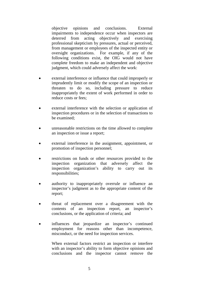objective opinions and conclusions. External impairments to independence occur when inspectors are deterred from acting objectively and exercising professional skepticism by pressures, actual or perceived, from management or employees of the inspected entity or oversight organizations. For example, if any of the following conditions exist, the OIG would not have complete freedom to make an independent and objective judgment, which could adversely affect the work:

- external interference or influence that could improperly or imprudently limit or modify the scope of an inspection or threaten to do so, including pressure to reduce inappropriately the extent of work performed in order to reduce costs or fees;
- external interference with the selection or application of inspection procedures or in the selection of transactions to be examined;
- unreasonable restrictions on the time allowed to complete an inspection or issue a report;
- external interference in the assignment, appointment, or promotion of inspection personnel;
- restrictions on funds or other resources provided to the inspection organization that adversely affect the inspection organization's ability to carry out its responsibilities;
- authority to inappropriately overrule or influence an inspector's judgment as to the appropriate content of the report;
- threat of replacement over a disagreement with the contents of an inspection report, an inspector's conclusions, or the application of criteria; and
- influences that jeopardize an inspector's continued employment for reasons other than incompetence, misconduct, or the need for inspection services.

When external factors restrict an inspection or interfere with an inspector's ability to form objective opinions and conclusions and the inspector cannot remove the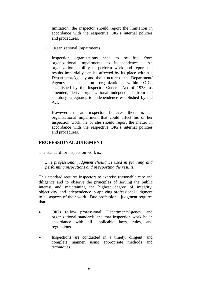limitation, the inspector should report the limitation in accordance with the respective OIG's internal policies and procedures.

3. Organizational Impairments

Inspection organizations need to be free from organizational impairments to independence. An organization's ability to perform work and report the results impartially can be affected by its place within a Department/Agency and the structure of the Department/ Agency. Inspection organizations within OIGs established by the Inspector General Act of 1978, as amended, derive organizational independence from the statutory safeguards to independence established by the Act.

However, if an inspector believes there is an organizational impairment that could affect his or her inspection work, he or she should report the matter in accordance with the respective OIG's internal policies and procedures.

## **PROFESSIONAL JUDGMENT**

The standard for inspection work is:

*Due professional judgment should be used in planning and performing inspections and in reporting the results.*

This standard requires inspectors to exercise reasonable care and diligence and to observe the principles of serving the public interest and maintaining the highest degree of integrity, objectivity, and independence in applying professional judgment to all aspects of their work. Due professional judgment requires that:

- OIGs follow professional, Department/Agency, and organizational standards and that inspection work be in accordance with all applicable laws, rules, and regulations.
- Inspections are conducted in a timely, diligent, and complete manner, using appropriate methods and techniques.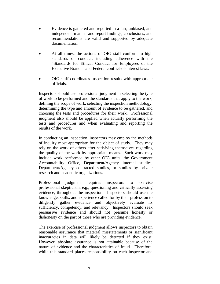- Evidence is gathered and reported in a fair, unbiased, and independent manner and report findings, conclusions, and recommendations are valid and supported by adequate documentation.
- At all times, the actions of OIG staff conform to high standards of conduct, including adherence with the "Standards for Ethical Conduct for Employees of the Executive Branch" and Federal conflict-of-interest laws.
- OIG staff coordinates inspection results with appropriate officials.

Inspectors should use professional judgment in selecting the type of work to be performed and the standards that apply to the work, defining the scope of work, selecting the inspection methodology, determining the type and amount of evidence to be gathered, and choosing the tests and procedures for their work. Professional judgment also should be applied when actually performing the tests and procedures and when evaluating and reporting the results of the work.

In conducting an inspection, inspectors may employ the methods of inquiry most appropriate for the object of study. They may rely on the work of others after satisfying themselves regarding the quality of the work by appropriate means. Such work may include work performed by other OIG units, the Government Accountability Office, Department/Agency internal studies, Department/Agency contracted studies, or studies by private research and academic organizations.

Professional judgment requires inspectors to exercise professional skepticism, e.g., questioning and critically assessing evidence, throughout the inspection. Inspectors should use the knowledge, skills, and experience called for by their profession to diligently gather evidence and objectively evaluate its sufficiency, competency, and relevancy. Inspectors should seek persuasive evidence and should not presume honesty or dishonesty on the part of those who are providing evidence.

The exercise of professional judgment allows inspectors to obtain reasonable assurance that material misstatements or significant inaccuracies in data will likely be detected if they exist. However, absolute assurance is not attainable because of the nature of evidence and the characteristics of fraud. Therefore, while this standard places responsibility on each inspector and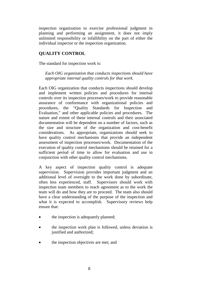inspection organization to exercise professional judgment in planning and performing an assignment, it does not imply unlimited responsibility or infallibility on the part of either the individual inspector or the inspection organization.

## **QUALITY CONTROL**

The standard for inspection work is:

*Each OIG organization that conducts inspections should have appropriate internal quality controls for that work.*

Each OIG organization that conducts inspections should develop and implement written policies and procedures for internal controls over its inspection processes/work to provide reasonable assurance of conformance with organizational policies and procedures, the "Quality Standards for Inspection and Evaluation," and other applicable policies and procedures. The nature and extent of these internal controls and their associated documentation will be dependent on a number of factors, such as the size and structure of the organization and cost-benefit considerations. As appropriate, organizations should seek to have quality control mechanisms that provide an independent assessment of inspection processes/work. Documentation of the execution of quality control mechanisms should be retained for a sufficient period of time to allow for evaluation and use in conjunction with other quality control mechanisms.

A key aspect of inspection quality control is adequate supervision. Supervision provides important judgment and an additional level of oversight to the work done by subordinate, often less experienced, staff. Supervisors should work with inspection team members to reach agreement as to the work the team will do and how they are to proceed. The team also should have a clear understanding of the purpose of the inspection and what it is expected to accomplish. Supervisory reviews help ensure that:

- the inspection is adequately planned;
- the inspection work plan is followed, unless deviation is justified and authorized;
- the inspection objectives are met; and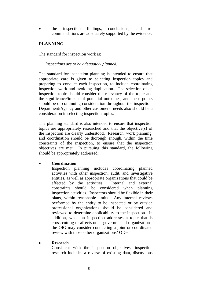• the inspection findings, conclusions, and recommendations are adequately supported by the evidence.

## **PLANNING**

The standard for inspection work is:

#### *Inspections are to be adequately planned.*

The standard for inspection planning is intended to ensure that appropriate care is given to selecting inspection topics and preparing to conduct each inspection, to include coordinating inspection work and avoiding duplication. The selection of an inspection topic should consider the relevancy of the topic and the significance/impact of potential outcomes, and these points should be of continuing consideration throughout the inspection. Department/Agency and other customers' needs also should be a consideration in selecting inspection topics.

The planning standard is also intended to ensure that inspection topics are appropriately researched and that the objective(s) of the inspection are clearly understood. Research, work planning, and coordination should be thorough enough, within the time constraints of the inspection, to ensure that the inspection objectives are met. In pursuing this standard, the following should be appropriately addressed:

## • **Coordination**

Inspection planning includes coordinating planned activities with other inspection, audit, and investigative entities, as well as appropriate organizations that could be affected by the activities. Internal and external constraints should be considered when planning inspection activities. Inspectors should be flexible in their plans, within reasonable limits. Any internal reviews performed by the entity to be inspected or by outside professional organizations should be considered and reviewed to determine applicability to the inspection. In addition, when an inspection addresses a topic that is cross-cutting or affects other governmental organizations, the OIG may consider conducting a joint or coordinated review with those other organizations' OIGs.

## • **Research**

Consistent with the inspection objectives, inspection research includes a review of existing data, discussions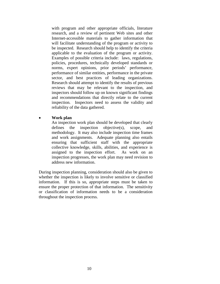with program and other appropriate officials, literature research, and a review of pertinent Web sites and other Internet-accessible materials to gather information that will facilitate understanding of the program or activity to be inspected. Research should help to identify the criteria applicable to the evaluation of the program or activity. Examples of possible criteria include: laws, regulations, policies, procedures, technically developed standards or norms, expert opinions, prior periods' performance, performance of similar entities, performance in the private sector, and best practices of leading organizations. Research should attempt to identify the results of previous reviews that may be relevant to the inspection, and inspectors should follow up on known significant findings and recommendations that directly relate to the current inspection. Inspectors need to assess the validity and reliability of the data gathered.

## • **Work plan**

An inspection work plan should be developed that clearly defines the inspection objective(s), scope, and methodology. It may also include inspection time frames and work assignments. Adequate planning also entails ensuring that sufficient staff with the appropriate collective knowledge, skills, abilities, and experience is assigned to the inspection effort. As work on an inspection progresses, the work plan may need revision to address new information.

During inspection planning, consideration should also be given to whether the inspection is likely to involve sensitive or classified information. If this is so, appropriate steps must be taken to ensure the proper protection of that information. The sensitivity or classification of information needs to be a consideration throughout the inspection process.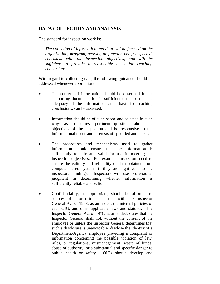## **DATA COLLECTION AND ANALYSIS**

The standard for inspection work is:

*The collection of information and data will be focused on the organization, program, activity, or function being inspected, consistent with the inspection objectives, and will be sufficient to provide a reasonable basis for reaching conclusions.*

With regard to collecting data, the following guidance should be addressed whenever appropriate:

- The sources of information should be described in the supporting documentation in sufficient detail so that the adequacy of the information, as a basis for reaching conclusions, can be assessed.
- Information should be of such scope and selected in such ways as to address pertinent questions about the objectives of the inspection and be responsive to the informational needs and interests of specified audiences.
- The procedures and mechanisms used to gather information should ensure that the information is sufficiently reliable and valid for use in meeting the inspection objectives. For example, inspectors need to ensure the validity and reliability of data obtained from computer-based systems if they are significant to the inspectors' findings. Inspectors will use professional judgment in determining whether information is sufficiently reliable and valid.
- Confidentiality, as appropriate, should be afforded to sources of information consistent with the Inspector General Act of 1978, as amended; the internal policies of each OIG; and other applicable laws and statutes. The Inspector General Act of 1978, as amended, states that the Inspector General shall not, without the consent of the employee or unless the Inspector General determines that such a disclosure is unavoidable, disclose the identity of a Department/Agency employee providing a complaint or information concerning the possible violation of law, rules, or regulations; mismanagement; waste of funds; abuse of authority; or a substantial and specific danger to public health or safety. OIGs should develop and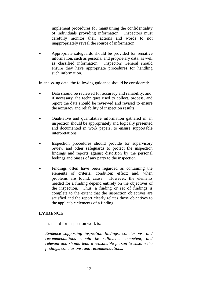implement procedures for maintaining the confidentiality of individuals providing information. Inspectors must carefully monitor their actions and words to not inappropriately reveal the source of information.

• Appropriate safeguards should be provided for sensitive information, such as personal and proprietary data, as well as classified information. Inspectors General should ensure they have appropriate procedures for handling such information.

In analyzing data, the following guidance should be considered:

- Data should be reviewed for accuracy and reliability; and, if necessary, the techniques used to collect, process, and report the data should be reviewed and revised to ensure the accuracy and reliability of inspection results.
- Qualitative and quantitative information gathered in an inspection should be appropriately and logically presented and documented in work papers, to ensure supportable interpretations.
- Inspection procedures should provide for supervisory review and other safeguards to protect the inspection findings and reports against distortion by the personal feelings and biases of any party to the inspection.
- Findings often have been regarded as containing the elements of criteria; condition; effect; and, when problems are found, cause. However, the elements needed for a finding depend entirely on the objectives of the inspection. Thus, a finding or set of findings is complete to the extent that the inspection objectives are satisfied and the report clearly relates those objectives to the applicable elements of a finding.

## **EVIDENCE**

The standard for inspection work is:

*Evidence supporting inspection findings, conclusions, and recommendations should be sufficient, competent, and relevant and should lead a reasonable person to sustain the findings, conclusions, and recommendations.*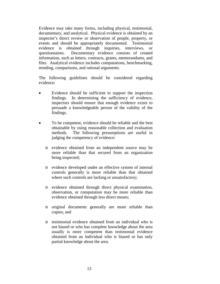Evidence may take many forms, including physical, testimonial, documentary, and analytical. Physical evidence is obtained by an inspector's direct review or observation of people, property, or events and should be appropriately documented. Testimonial evidence is obtained through inquiries, interviews, or questionnaires. Documentary evidence consists of created information, such as letters, contracts, grants, memorandums, and files. Analytical evidence includes computations, benchmarking, trending, comparisons, and rational arguments.

The following guidelines should be considered regarding evidence:

- Evidence should be sufficient to support the inspection findings. In determining the sufficiency of evidence, inspectors should ensure that enough evidence exists to persuade a knowledgeable person of the validity of the findings.
- To be competent, evidence should be reliable and the best obtainable by using reasonable collection and evaluation methods. The following presumptions are useful in judging the competency of evidence:
	- o evidence obtained from an independent source may be more reliable than that secured from an organization being inspected;
	- o evidence developed under an effective system of internal controls generally is more reliable than that obtained where such controls are lacking or unsatisfactory;
	- o evidence obtained through direct physical examination, observation, or computation may be more reliable than evidence obtained through less direct means;
	- o original documents generally are more reliable than copies; and
	- o testimonial evidence obtained from an individual who is not biased or who has complete knowledge about the area usually is more competent than testimonial evidence obtained from an individual who is biased or has only partial knowledge about the area.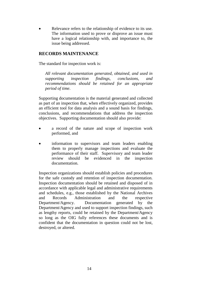Relevance refers to the relationship of evidence to its use. The information used to prove or disprove an issue must have a logical relationship with, and importance to, the issue being addressed.

## **RECORDS MAINTENANCE**

The standard for inspection work is:

*All relevant documentation generated, obtained, and used in supporting inspection findings, conclusions, and recommendations should be retained for an appropriate period of time*.

Supporting documentation is the material generated and collected as part of an inspection that, when effectively organized, provides an efficient tool for data analysis and a sound basis for findings, conclusions, and recommendations that address the inspection objectives. Supporting documentation should also provide:

- a record of the nature and scope of inspection work performed, and
- information to supervisors and team leaders enabling them to properly manage inspections and evaluate the performance of their staff. Supervisory and team leader review should be evidenced in the inspection documentation.

Inspection organizations should establish policies and procedures for the safe custody and retention of inspection documentation. Inspection documentation should be retained and disposed of in accordance with applicable legal and administrative requirements and schedules, e.g., those established by the National Archives and Records Administration and the respective Department/Agency. Documentation generated by the Department/Agency and used to support inspection findings, such as lengthy reports, could be retained by the Department/Agency so long as the OIG fully references these documents and is confident that the documentation in question could not be lost, destroyed, or altered.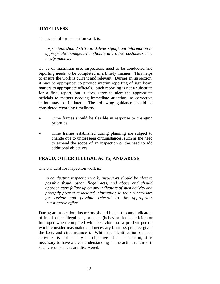## **TIMELINESS**

The standard for inspection work is:

*Inspections should strive to deliver significant information to appropriate management officials and other customers in a timely manner.*

To be of maximum use, inspections need to be conducted and reporting needs to be completed in a timely manner. This helps to ensure the work is current and relevant. During an inspection, it may be appropriate to provide interim reporting of significant matters to appropriate officials. Such reporting is not a substitute for a final report, but it does serve to alert the appropriate officials to matters needing immediate attention, so corrective action may be initiated. The following guidance should be considered regarding timeliness:

- Time frames should be flexible in response to changing priorities.
- Time frames established during planning are subject to change due to unforeseen circumstances, such as the need to expand the scope of an inspection or the need to add additional objectives.

## **FRAUD, OTHER ILLEGAL ACTS, AND ABUSE**

The standard for inspection work is:

*In conducting inspection work, inspectors should be alert to possible fraud, other illegal acts, and abuse and should appropriately follow up on any indicators of such activity and promptly present associated information to their supervisors for review and possible referral to the appropriate investigative office.*

During an inspection, inspectors should be alert to any indicators of fraud, other illegal acts, or abuse (behavior that is deficient or improper when compared with behavior that a prudent person would consider reasonable and necessary business practice given the facts and circumstances). While the identification of such activities is not usually an objective of an inspection, it is necessary to have a clear understanding of the action required if such circumstances are discovered.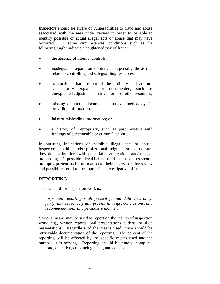Inspectors should be aware of vulnerabilities to fraud and abuse associated with the area under review in order to be able to identify possible or actual illegal acts or abuse that may have occurred. In some circumstances, conditions such as the following might indicate a heightened risk of fraud:

- the absence of internal controls;
- inadequate "separation of duties," especially those that relate to controlling and safeguarding resources;
- transactions that are out of the ordinary and are not satisfactorily explained or documented, such as unexplained adjustments in inventories or other resources;
- missing or altered documents or unexplained delays in providing information;
- false or misleading information; or
- a history of impropriety, such as past reviews with findings of questionable or criminal activity.

In pursuing indications of possible illegal acts or abuse, inspectors should exercise professional judgment so as to ensure they do not interfere with potential investigations and/or legal proceedings. If possible illegal behavior arises, inspectors should promptly present such information to their supervisors for review and possible referral to the appropriate investigative office.

## **REPORTING**

The standard for inspection work is:

*Inspection reporting shall present factual data accurately, fairly, and objectively and present findings, conclusions, and recommendations in a persuasive manner.*

Various means may be used to report on the results of inspection work, e.g., written reports, oral presentations, videos, or slide presentations. Regardless of the means used, there should be retrievable documentation of the reporting. The content of the reporting will be affected by the specific means used and the purpose it is serving. Reporting should be timely, complete, accurate, objective, convincing, clear, and concise.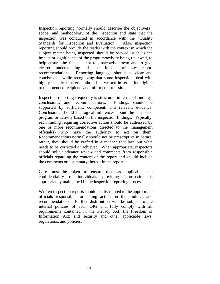Inspection reporting normally should describe the objective(s), scope, and methodology of the inspection and state that the inspection was conducted in accordance with the "Quality Standards for Inspection and Evaluation." Also, inspection reporting should provide the reader with the context in which the subject matter being inspected should be viewed, such as the impact or significance of the program/activity being reviewed, to help ensure the focus is not too narrowly drawn and to give clearer understanding of the impact of any report recommendations. Reporting language should be clear and concise and, while recognizing that some inspections deal with highly technical material, should be written in terms intelligible to the intended recipients and informed professionals.

Inspection reporting frequently is structured in terms of findings, conclusions, and recommendations. Findings should be supported by sufficient, competent, and relevant evidence. Conclusions should be logical inferences about the inspected program or activity based on the inspection findings. Typically, each finding requiring corrective action should be addressed by one or more recommendations directed to the management official(s) who have the authority to act on them. Recommendations normally should not be prescriptive in nature; rather, they should be crafted in a manner that lays out what needs to be corrected or achieved. When appropriate, inspectors should solicit advance review and comments from responsible officials regarding the content of the report and should include the comments or a summary thereof in the report.

Care must be taken to ensure that, as applicable, the confidentiality of individuals providing information is appropriately maintained in the inspection reporting process.

Written inspection reports should be distributed to the appropriate officials responsible for taking action on the findings and recommendations. Further distribution will be subject to the internal policies of each OIG and fully comply with all requirements contained in the Privacy Act; the Freedom of Information Act; and security and other applicable laws, regulations, and policies.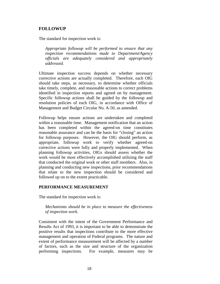## **FOLLOWUP**

The standard for inspection work is:

*Appropriate followup will be performed to ensure that any inspection recommendations made to Department/Agency officials are adequately considered and appropriately addressed.*

Ultimate inspection success depends on whether necessary corrective actions are actually completed. Therefore, each OIG should take steps, as necessary, to determine whether officials take timely, complete, and reasonable actions to correct problems identified in inspection reports and agreed on by management. Specific followup actions shall be guided by the followup and resolution policies of each OIG, in accordance with Office of Management and Budget Circular No. A-50, as amended.

Followup helps ensure actions are undertaken and completed within a reasonable time. Management notification that an action has been completed within the agreed-on time constitutes reasonable assurance and can be the basis for "closing" an action for followup purposes. However, the OIG should perform, as appropriate, followup work to verify whether agreed-on corrective actions were fully and properly implemented. When planning followup activities, OIGs should assess whether the work would be most effectively accomplished utilizing the staff that conducted the original work or other staff members. Also, in planning and conducting new inspections, prior recommendations that relate to the new inspection should be considered and followed up on to the extent practicable.

#### **PERFORMANCE MEASUREMENT**

The standard for inspection work is:

#### *Mechanisms should be in place to measure the effectiveness of inspection work.*

Consistent with the intent of the Government Performance and Results Act of 1993, it is important to be able to demonstrate the positive results that inspections contribute to the more effective management and operation of Federal programs. The nature and extent of performance measurement will be affected by a number of factors, such as the size and structure of the organization performing inspections. For example, measures may be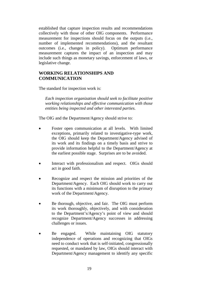established that capture inspection results and recommendations collectively with those of other OIG components. Performance measurement for inspections should focus on the outputs (i.e., number of implemented recommendations), and the resultant outcomes (i.e., changes in policy). Optimum performance measurement captures the impact of an inspection and may include such things as monetary savings, enforcement of laws, or legislative change.

## **WORKING RELATIONSHIPS AND COMMUNICATION**

The standard for inspection work is:

*Each inspection organization should seek to facilitate positive working relationships and effective communication with those entities being inspected and other interested parties.*

The OIG and the Department/Agency should strive to:

- Foster open communication at all levels. With limited exceptions, primarily related to investigative-type work, the OIG should keep the Department/Agency advised of its work and its findings on a timely basis and strive to provide information helpful to the Department/Agency at the earliest possible stage. Surprises are to be avoided.
- Interact with professionalism and respect. OIGs should act in good faith.
- Recognize and respect the mission and priorities of the Department/Agency. Each OIG should work to carry out its functions with a minimum of disruption to the primary work of the Department/Agency.
- Be thorough, objective, and fair. The OIG must perform its work thoroughly, objectively, and with consideration to the Department's/Agency's point of view and should recognize Department/Agency successes in addressing challenges or issues.
- Be engaged. While maintaining OIG statutory independence of operations and recognizing that OIGs need to conduct work that is self-initiated, congressionally requested, or mandated by law, OIGs should interact with Department/Agency management to identify any specific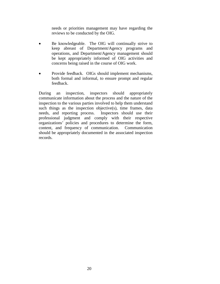needs or priorities management may have regarding the reviews to be conducted by the OIG.

- Be knowledgeable. The OIG will continually strive to keep abreast of Department/Agency programs and operations, and Department/Agency management should be kept appropriately informed of OIG activities and concerns being raised in the course of OIG work.
- Provide feedback. OIGs should implement mechanisms, both formal and informal, to ensure prompt and regular feedback.

During an inspection, inspectors should appropriately communicate information about the process and the nature of the inspection to the various parties involved to help them understand such things as the inspection objective(s), time frames, data needs, and reporting process. Inspectors should use their professional judgment and comply with their respective organizations' policies and procedures to determine the form, content, and frequency of communication. Communication should be appropriately documented in the associated inspection records.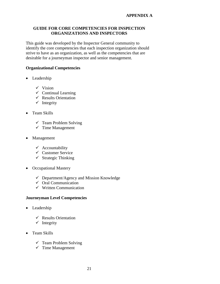## **GUIDE FOR CORE COMPETENCIES FOR INSPECTION ORGANIZATIONS AND INSPECTORS**

This guide was developed by the Inspector General community to identify the core competencies that each inspection organization should strive to have as an organization, as well as the competencies that are desirable for a journeyman inspector and senior management.

## **Organizational Competencies**

- Leadership
	- $\checkmark$  Vision
	- $\checkmark$  Continual Learning
	- $\checkmark$  Results Orientation
	- $\checkmark$  Integrity
- Team Skills
	- $\checkmark$  Team Problem Solving
	- $\checkmark$  Time Management
- Management
	- $\checkmark$  Accountability
	- $\checkmark$  Customer Service
	- $\checkmark$  Strategic Thinking
- Occupational Mastery
	- $\checkmark$  Department/Agency and Mission Knowledge
	- $\checkmark$  Oral Communication
	- $\checkmark$  Written Communication

## **Journeyman Level Competencies**

- Leadership
	- $\checkmark$  Results Orientation
	- $\checkmark$  Integrity
- Team Skills
	- $\checkmark$  Team Problem Solving
	- $\checkmark$  Time Management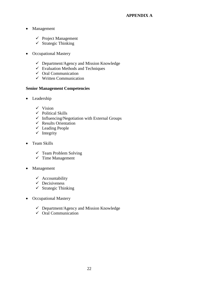## **APPENDIX A**

- Management
	- $\checkmark$  Project Management
	- $\checkmark$  Strategic Thinking
- Occupational Mastery
	- $\checkmark$  Department/Agency and Mission Knowledge
	- $\checkmark$  Evaluation Methods and Techniques
	- $\checkmark$  Oral Communication
	- $\checkmark$  Written Communication

## **Senior Management Competencies**

- Leadership
	- $\checkmark$  Vision
	- $\checkmark$  Political Skills
	- $\checkmark$  Influencing/Negotiation with External Groups
	- $\checkmark$  Results Orientation
	- $\checkmark$  Leading People
	- $\checkmark$  Integrity
- Team Skills
	- $\checkmark$  Team Problem Solving
	- $\checkmark$  Time Management
- Management
	- $\checkmark$  Accountability
	- $\checkmark$  Decisiveness
	- $\checkmark$  Strategic Thinking
- Occupational Mastery
	- Department/Agency and Mission Knowledge
	- $\checkmark$  Oral Communication